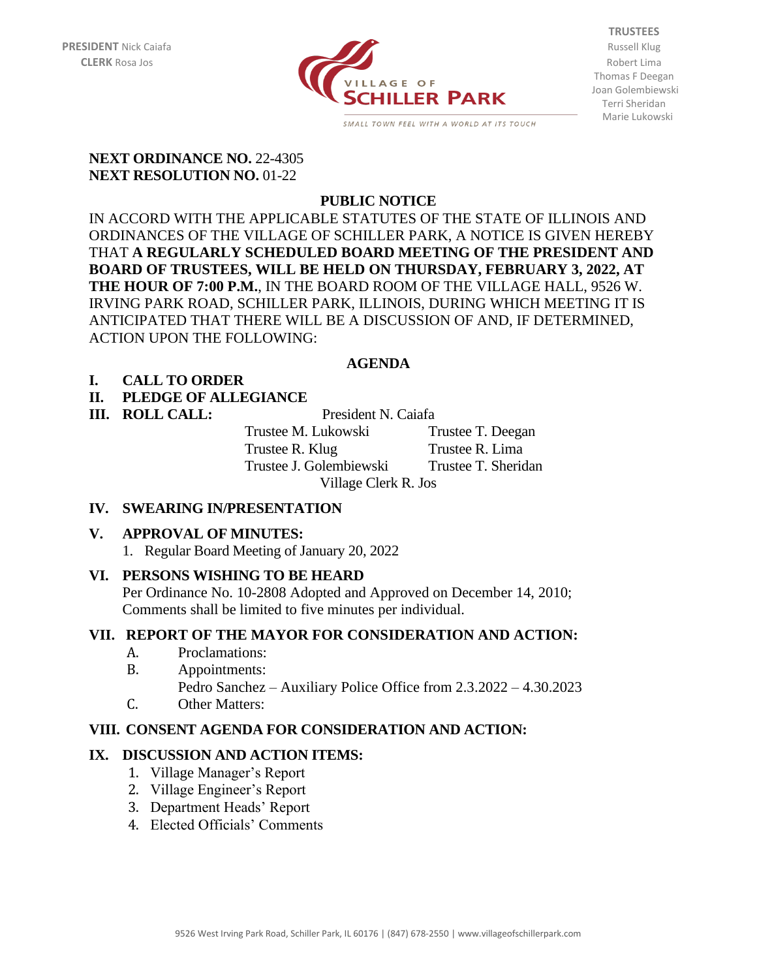

**TRUSTEES** Thomas F Deegan Joan Golembiewski Terri Sheridan Marie Lukowski

#### **NEXT ORDINANCE NO. 22-4305 NEXT RESOLUTION NO.** 01-22

# **PUBLIC NOTICE**

IN ACCORD WITH THE APPLICABLE STATUTES OF THE STATE OF ILLINOIS AND ORDINANCES OF THE VILLAGE OF SCHILLER PARK, A NOTICE IS GIVEN HEREBY THAT **A REGULARLY SCHEDULED BOARD MEETING OF THE PRESIDENT AND BOARD OF TRUSTEES, WILL BE HELD ON THURSDAY, FEBRUARY 3, 2022, AT THE HOUR OF 7:00 P.M.**, IN THE BOARD ROOM OF THE VILLAGE HALL, 9526 W. IRVING PARK ROAD, SCHILLER PARK, ILLINOIS, DURING WHICH MEETING IT IS ANTICIPATED THAT THERE WILL BE A DISCUSSION OF AND, IF DETERMINED, ACTION UPON THE FOLLOWING:

#### **AGENDA**

#### **I. CALL TO ORDER**

# **II. PLEDGE OF ALLEGIANCE**

**III. ROLL CALL:** President N. Caiafa

Trustee M. Lukowski Trustee T. Deegan Trustee R. Klug Trustee R. Lima Trustee J. Golembiewski Trustee T. Sheridan Village Clerk R. Jos

#### **IV. SWEARING IN/PRESENTATION**

# **V. APPROVAL OF MINUTES:**

1. Regular Board Meeting of January 20, 2022

# **VI. PERSONS WISHING TO BE HEARD**

Per Ordinance No. 10-2808 Adopted and Approved on December 14, 2010; Comments shall be limited to five minutes per individual.

# **VII. REPORT OF THE MAYOR FOR CONSIDERATION AND ACTION:**

- A. Proclamations:
- B. Appointments: Pedro Sanchez – Auxiliary Police Office from 2.3.2022 – 4.30.2023
- C. Other Matters:

# **VIII. CONSENT AGENDA FOR CONSIDERATION AND ACTION:**

# **IX. DISCUSSION AND ACTION ITEMS:**

- 1. Village Manager's Report
- 2. Village Engineer's Report
- 3. Department Heads' Report
- 4. Elected Officials' Comments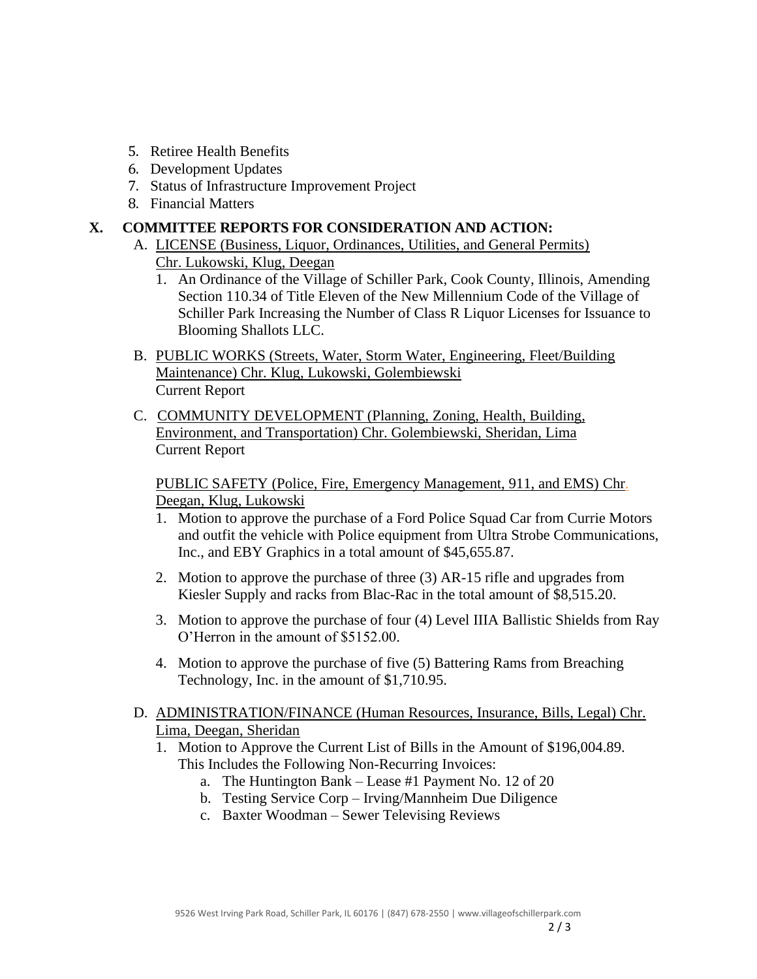- 5. Retiree Health Benefits
- 6. Development Updates
- 7. Status of Infrastructure Improvement Project
- 8. Financial Matters

#### **X. COMMITTEE REPORTS FOR CONSIDERATION AND ACTION:**

- A. LICENSE (Business, Liquor, Ordinances, Utilities, and General Permits) Chr. Lukowski, Klug, Deegan
	- 1. An Ordinance of the Village of Schiller Park, Cook County, Illinois, Amending Section 110.34 of Title Eleven of the New Millennium Code of the Village of Schiller Park Increasing the Number of Class R Liquor Licenses for Issuance to Blooming Shallots LLC.
- B. PUBLIC WORKS (Streets, Water, Storm Water, Engineering, Fleet/Building Maintenance) Chr. Klug, Lukowski, Golembiewski Current Report
- C. COMMUNITY DEVELOPMENT (Planning, Zoning, Health, Building, Environment, and Transportation) Chr. Golembiewski, Sheridan, Lima Current Report

PUBLIC SAFETY (Police, Fire, Emergency Management, 911, and EMS) Chr. Deegan, Klug, Lukowski

- 1. Motion to approve the purchase of a Ford Police Squad Car from Currie Motors and outfit the vehicle with Police equipment from Ultra Strobe Communications, Inc., and EBY Graphics in a total amount of \$45,655.87.
- 2. Motion to approve the purchase of three (3) AR-15 rifle and upgrades from Kiesler Supply and racks from Blac-Rac in the total amount of \$8,515.20.
- 3. Motion to approve the purchase of four (4) Level IIIA Ballistic Shields from Ray O'Herron in the amount of \$5152.00.
- 4. Motion to approve the purchase of five (5) Battering Rams from Breaching Technology, Inc. in the amount of \$1,710.95.

# D. ADMINISTRATION/FINANCE (Human Resources, Insurance, Bills, Legal) Chr. Lima, Deegan, Sheridan

- 1. Motion to Approve the Current List of Bills in the Amount of \$196,004.89. This Includes the Following Non-Recurring Invoices:
	- a. The Huntington Bank Lease #1 Payment No. 12 of 20
	- b. Testing Service Corp Irving/Mannheim Due Diligence
	- c. Baxter Woodman Sewer Televising Reviews